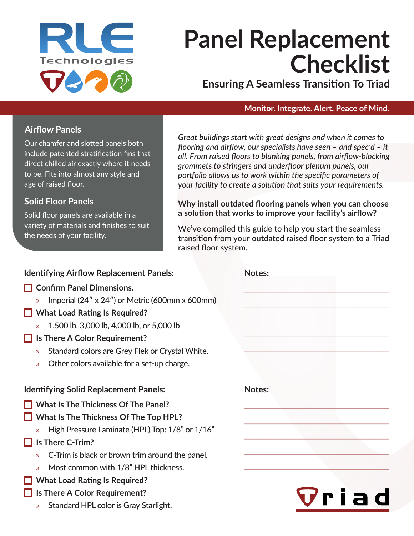

# **Panel Replacement Checklist**

**Ensuring A Seamless Transition To Triad**

#### **Monitor. Integrate. Alert. Peace of Mind.**

### **Airflow Panels**

Our chamfer and slotted panels both include patented stratification fins that direct chilled air exactly where it needs to be. Fits into almost any style and age of raised floor.

## **Solid Floor Panels**

Solid floor panels are available in a variety of materials and finishes to suit the needs of your facility.

*Great buildings start with great designs and when it comes to flooring and airflow, our specialists have seen – and spec'd – it all. From raised floors to blanking panels, from airflow-blocking grommets to stringers and underfloor plenum panels, our portfolio allows us to work within the specific parameters of your facility to create a solution that suits your requirements.*

#### **Why install outdated flooring panels when you can choose a solution that works to improve your facility's airflow?**

We've compiled this guide to help you start the seamless transition from your outdated raised floor system to a Triad raised floor system.

| <b>Identifying Airflow Replacement Panels:</b>                           | <b>Notes:</b> |
|--------------------------------------------------------------------------|---------------|
| <b>Confirm Panel Dimensions.</b>                                         |               |
| Imperial $(24'' \times 24'')$ or Metric (600mm x 600mm)<br>$\mathcal{D}$ |               |
| <b>What Load Rating Is Required?</b>                                     |               |
| 1,500 lb, 3,000 lb, 4,000 lb, or 5,000 lb                                |               |
| Is There A Color Requirement?                                            |               |
| Standard colors are Grey Flek or Crystal White.<br>$\mathcal{D}$         |               |
| Other colors available for a set-up charge.<br>$\mathcal{D}$             |               |
|                                                                          |               |
| <b>Identifying Solid Replacement Panels:</b>                             | Notes:        |
| <b>What Is The Thickness Of The Panel?</b>                               |               |
| What Is The Thickness Of The Top HPL?                                    |               |
| High Pressure Laminate (HPL) Top: 1/8" or 1/16"<br>$\mathcal{P}$         |               |
| Is There C-Trim?                                                         |               |
| C-Trim is black or brown trim around the panel.<br>$\mathcal{D}$         |               |
| Most common with 1/8" HPL thickness.<br>$\mathcal{Y}$                    |               |
| <b>What Load Rating Is Required?</b>                                     |               |
| Is There A Color Requirement?                                            | Vriad         |
| Standard HPL color is Gray Starlight.<br>$\mathcal{D}$                   |               |
|                                                                          |               |